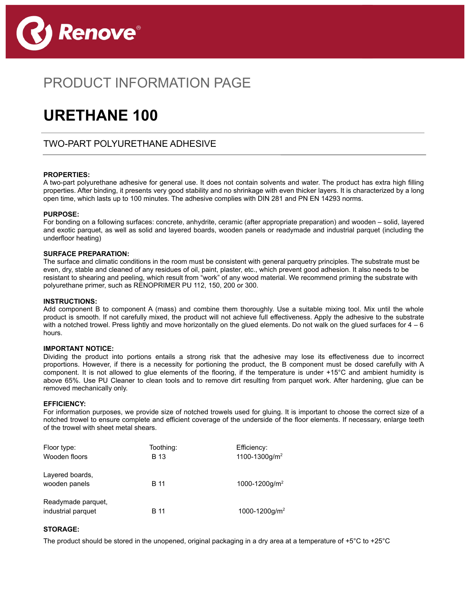

## PRODUCT INFORMATION PAGE

# **URETHANE 100**

### TWO-PART POLYURETHANE ADHESIVE

#### **PROPERTIES:**

 $\overline{a}$ 

j

A two-part polyurethane adhesive for general use. It does not contain solvents and water. The product has extra high filling properties. After binding, it presents very good stability and no shrinkage with even thicker layers. It is characterized by a long open time, which lasts up to 100 minutes. The adhesive complies with DIN 281 and PN EN 14293 norms.

#### **PURPOSE:**

For bonding on a following surfaces: concrete, anhydrite, ceramic (after appropriate preparation) and wooden – solid, layered and exotic parquet, as well as solid and layered boards, wooden panels or readymade and industrial parquet (including the underfloor heating)

#### **SURFACE PREPARATION:**

The surface and climatic conditions in the room must be consistent with general parquetry principles. The substrate must be even, dry, stable and cleaned of any residues of oil, paint, plaster, etc., which prevent good adhesion. It also needs to be resistant to shearing and peeling, which result from "work" of any wood material. We recommend priming the substrate with polyurethane primer, such as RENOPRIMER PU 112, 150, 200 or 300.

#### **INSTRUCTIONS:**

Add component B to component A (mass) and combine them thoroughly. Use a suitable mixing tool. Mix until the whole product is smooth. If not carefully mixed, the product will not achieve full effectiveness. Apply the adhesive to the substrate with a notched trowel. Press lightly and move horizontally on the glued elements. Do not walk on the glued surfaces for  $4 - 6$ hours.

#### **IMPORTANT NOTICE:**

Dividing the product into portions entails a strong risk that the adhesive may lose its effectiveness due to incorrect proportions. However, if there is a necessity for portioning the product, the B component must be dosed carefully with A component. It is not allowed to glue elements of the flooring, if the temperature is under +15°C and ambient humidity is above 65%. Use PU Cleaner to clean tools and to remove dirt resulting from parquet work. After hardening, glue can be removed mechanically only.

#### **EFFICIENCY:**

For information purposes, we provide size of notched trowels used for gluing. It is important to choose the correct size of a notched trowel to ensure complete and efficient coverage of the underside of the floor elements. If necessary, enlarge teeth of the trowel with sheet metal shears.

| Floor type:<br>Wooden floors             | Toothing:<br>B 13 | Efficiency:<br>1100-1300g/m <sup>2</sup> |
|------------------------------------------|-------------------|------------------------------------------|
| Layered boards,<br>wooden panels         | <b>B</b> 11       | 1000-1200g/m <sup>2</sup>                |
| Readymade parquet,<br>industrial parquet | B 11              | 1000-1200g/m <sup>2</sup>                |

#### **STORAGE:**

The product should be stored in the unopened, original packaging in a dry area at a temperature of +5°C to +25°C